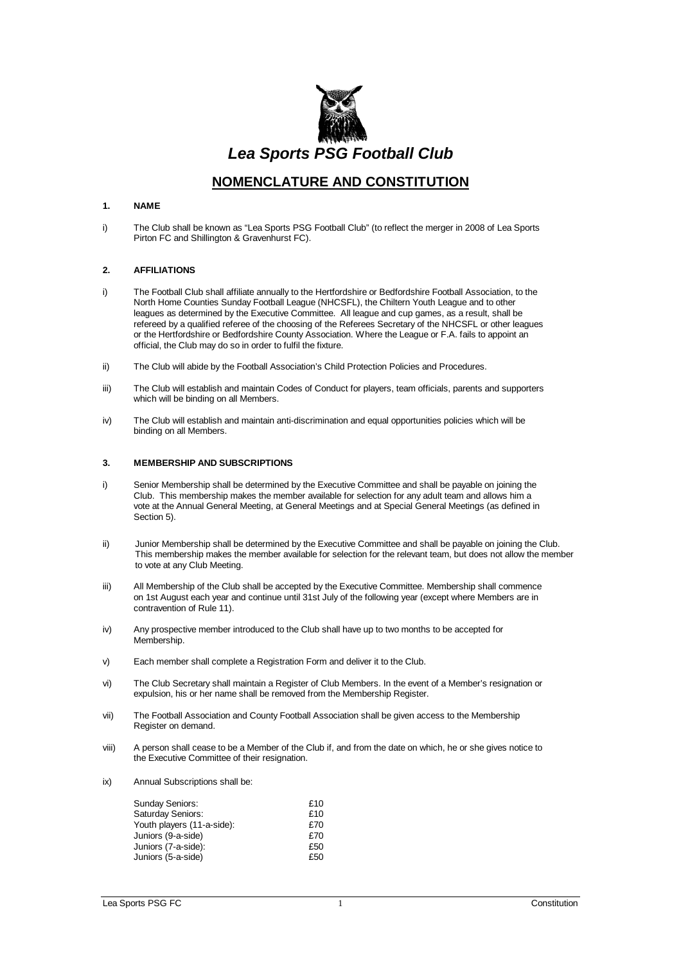

# **NOMENCLATURE AND CONSTITUTION**

#### **1. NAME**

i) The Club shall be known as "Lea Sports PSG Football Club" (to reflect the merger in 2008 of Lea Sports Pirton FC and Shillington & Gravenhurst FC).

## **2. AFFILIATIONS**

- i) The Football Club shall affiliate annually to the Hertfordshire or Bedfordshire Football Association, to the North Home Counties Sunday Football League (NHCSFL), the Chiltern Youth League and to other leagues as determined by the Executive Committee. All league and cup games, as a result, shall be refereed by a qualified referee of the choosing of the Referees Secretary of the NHCSFL or other leagues or the Hertfordshire or Bedfordshire County Association. Where the League or F.A. fails to appoint an official, the Club may do so in order to fulfil the fixture.
- ii) The Club will abide by the Football Association's Child Protection Policies and Procedures.
- iii) The Club will establish and maintain Codes of Conduct for players, team officials, parents and supporters which will be binding on all Members.
- iv) The Club will establish and maintain anti-discrimination and equal opportunities policies which will be binding on all Members.

#### **3. MEMBERSHIP AND SUBSCRIPTIONS**

- i) Senior Membership shall be determined by the Executive Committee and shall be payable on joining the Club. This membership makes the member available for selection for any adult team and allows him a vote at the Annual General Meeting, at General Meetings and at Special General Meetings (as defined in Section 5).
- ii) Junior Membership shall be determined by the Executive Committee and shall be payable on joining the Club. This membership makes the member available for selection for the relevant team, but does not allow the member to vote at any Club Meeting.
- iii) All Membership of the Club shall be accepted by the Executive Committee. Membership shall commence on 1st August each year and continue until 31st July of the following year (except where Members are in contravention of Rule 11).
- iv) Any prospective member introduced to the Club shall have up to two months to be accepted for Membership.
- v) Each member shall complete a Registration Form and deliver it to the Club.
- vi) The Club Secretary shall maintain a Register of Club Members. In the event of a Member's resignation or expulsion, his or her name shall be removed from the Membership Register.
- vii) The Football Association and County Football Association shall be given access to the Membership Register on demand.
- viii) A person shall cease to be a Member of the Club if, and from the date on which, he or she gives notice to the Executive Committee of their resignation.
- ix) Annual Subscriptions shall be:

| <b>Sunday Seniors:</b>     | £10 |
|----------------------------|-----|
| Saturday Seniors:          | £10 |
| Youth players (11-a-side): | £70 |
| Juniors (9-a-side)         | £70 |
| Juniors (7-a-side):        | £50 |
| Juniors (5-a-side)         | £50 |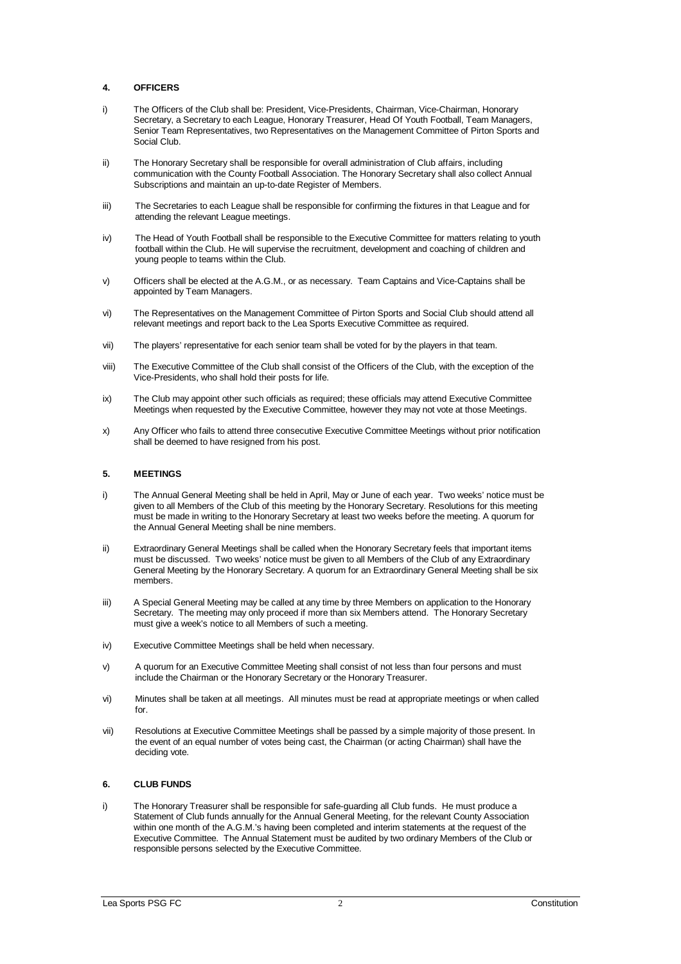## **4. OFFICERS**

- i) The Officers of the Club shall be: President, Vice-Presidents, Chairman, Vice-Chairman, Honorary Secretary, a Secretary to each League, Honorary Treasurer, Head Of Youth Football, Team Managers, Senior Team Representatives, two Representatives on the Management Committee of Pirton Sports and Social Club.
- ii) The Honorary Secretary shall be responsible for overall administration of Club affairs, including communication with the County Football Association. The Honorary Secretary shall also collect Annual Subscriptions and maintain an up-to-date Register of Members.
- iii) The Secretaries to each League shall be responsible for confirming the fixtures in that League and for attending the relevant League meetings.
- iv) The Head of Youth Football shall be responsible to the Executive Committee for matters relating to youth football within the Club. He will supervise the recruitment, development and coaching of children and young people to teams within the Club.
- v) Officers shall be elected at the A.G.M., or as necessary. Team Captains and Vice-Captains shall be appointed by Team Managers.
- vi) The Representatives on the Management Committee of Pirton Sports and Social Club should attend all relevant meetings and report back to the Lea Sports Executive Committee as required.
- vii) The players' representative for each senior team shall be voted for by the players in that team.
- viii) The Executive Committee of the Club shall consist of the Officers of the Club, with the exception of the Vice-Presidents, who shall hold their posts for life.
- ix) The Club may appoint other such officials as required; these officials may attend Executive Committee Meetings when requested by the Executive Committee, however they may not vote at those Meetings.
- x) Any Officer who fails to attend three consecutive Executive Committee Meetings without prior notification shall be deemed to have resigned from his post.

## **5. MEETINGS**

- i) The Annual General Meeting shall be held in April, May or June of each year. Two weeks' notice must be given to all Members of the Club of this meeting by the Honorary Secretary. Resolutions for this meeting must be made in writing to the Honorary Secretary at least two weeks before the meeting. A quorum for the Annual General Meeting shall be nine members.
- ii) Extraordinary General Meetings shall be called when the Honorary Secretary feels that important items must be discussed. Two weeks' notice must be given to all Members of the Club of any Extraordinary General Meeting by the Honorary Secretary. A quorum for an Extraordinary General Meeting shall be six members.
- iii) A Special General Meeting may be called at any time by three Members on application to the Honorary Secretary. The meeting may only proceed if more than six Members attend. The Honorary Secretary must give a week's notice to all Members of such a meeting.
- iv) Executive Committee Meetings shall be held when necessary.
- v) A quorum for an Executive Committee Meeting shall consist of not less than four persons and must include the Chairman or the Honorary Secretary or the Honorary Treasurer.
- vi) Minutes shall be taken at all meetings. All minutes must be read at appropriate meetings or when called for.
- vii) Resolutions at Executive Committee Meetings shall be passed by a simple majority of those present. In the event of an equal number of votes being cast, the Chairman (or acting Chairman) shall have the deciding vote.

## **6. CLUB FUNDS**

i) The Honorary Treasurer shall be responsible for safe-guarding all Club funds. He must produce a Statement of Club funds annually for the Annual General Meeting, for the relevant County Association within one month of the A.G.M.'s having been completed and interim statements at the request of the Executive Committee. The Annual Statement must be audited by two ordinary Members of the Club or responsible persons selected by the Executive Committee.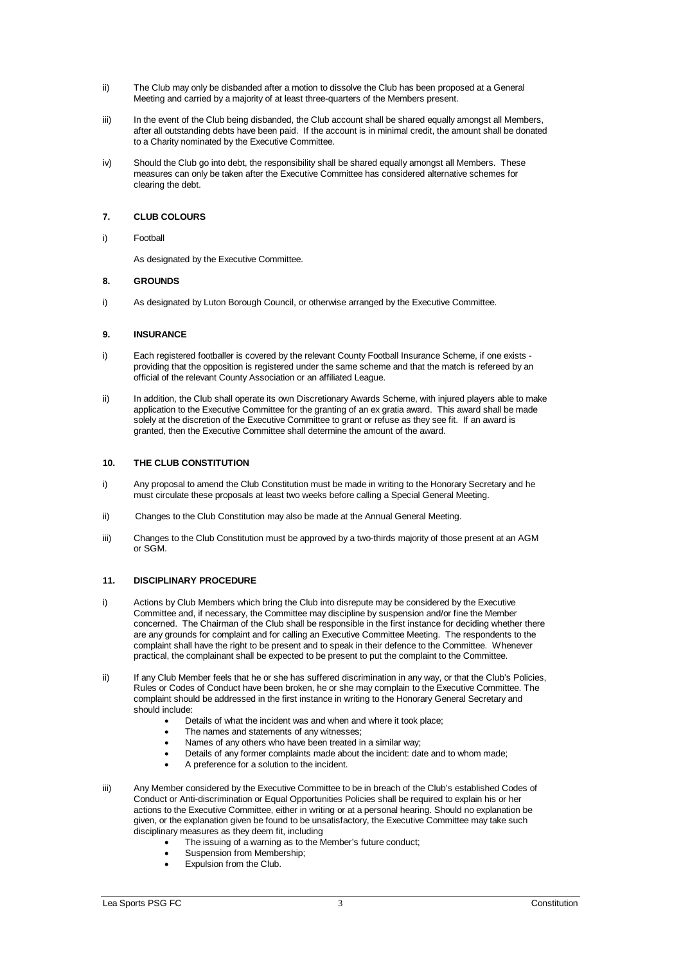- ii) The Club may only be disbanded after a motion to dissolve the Club has been proposed at a General Meeting and carried by a majority of at least three-quarters of the Members present.
- iii) In the event of the Club being disbanded, the Club account shall be shared equally amongst all Members, after all outstanding debts have been paid. If the account is in minimal credit, the amount shall be donated to a Charity nominated by the Executive Committee.
- iv) Should the Club go into debt, the responsibility shall be shared equally amongst all Members. These measures can only be taken after the Executive Committee has considered alternative schemes for clearing the debt.

## **7. CLUB COLOURS**

#### i) Football

As designated by the Executive Committee.

### **8. GROUNDS**

i) As designated by Luton Borough Council, or otherwise arranged by the Executive Committee.

### **9. INSURANCE**

- i) Each registered footballer is covered by the relevant County Football Insurance Scheme, if one exists providing that the opposition is registered under the same scheme and that the match is refereed by an official of the relevant County Association or an affiliated League.
- ii) In addition, the Club shall operate its own Discretionary Awards Scheme, with injured players able to make application to the Executive Committee for the granting of an ex gratia award. This award shall be made solely at the discretion of the Executive Committee to grant or refuse as they see fit. If an award is granted, then the Executive Committee shall determine the amount of the award.

#### **10. THE CLUB CONSTITUTION**

- i) Any proposal to amend the Club Constitution must be made in writing to the Honorary Secretary and he must circulate these proposals at least two weeks before calling a Special General Meeting.
- ii) Changes to the Club Constitution may also be made at the Annual General Meeting.
- iii) Changes to the Club Constitution must be approved by a two-thirds majority of those present at an AGM or SGM.

## **11. DISCIPLINARY PROCEDURE**

- i) Actions by Club Members which bring the Club into disrepute may be considered by the Executive Committee and, if necessary, the Committee may discipline by suspension and/or fine the Member concerned. The Chairman of the Club shall be responsible in the first instance for deciding whether there are any grounds for complaint and for calling an Executive Committee Meeting. The respondents to the complaint shall have the right to be present and to speak in their defence to the Committee. Whenever practical, the complainant shall be expected to be present to put the complaint to the Committee.
- ii) If any Club Member feels that he or she has suffered discrimination in any way, or that the Club's Policies, Rules or Codes of Conduct have been broken, he or she may complain to the Executive Committee. The complaint should be addressed in the first instance in writing to the Honorary General Secretary and should include:
	- Details of what the incident was and when and where it took place;
	- The names and statements of any witnesses;
	- Names of any others who have been treated in a similar way;
	- Details of any former complaints made about the incident: date and to whom made;
	- A preference for a solution to the incident.
- iii) Any Member considered by the Executive Committee to be in breach of the Club's established Codes of Conduct or Anti-discrimination or Equal Opportunities Policies shall be required to explain his or her actions to the Executive Committee, either in writing or at a personal hearing. Should no explanation be given, or the explanation given be found to be unsatisfactory, the Executive Committee may take such disciplinary measures as they deem fit, including
	- The issuing of a warning as to the Member's future conduct;
	- Suspension from Membership;
	- Expulsion from the Club.